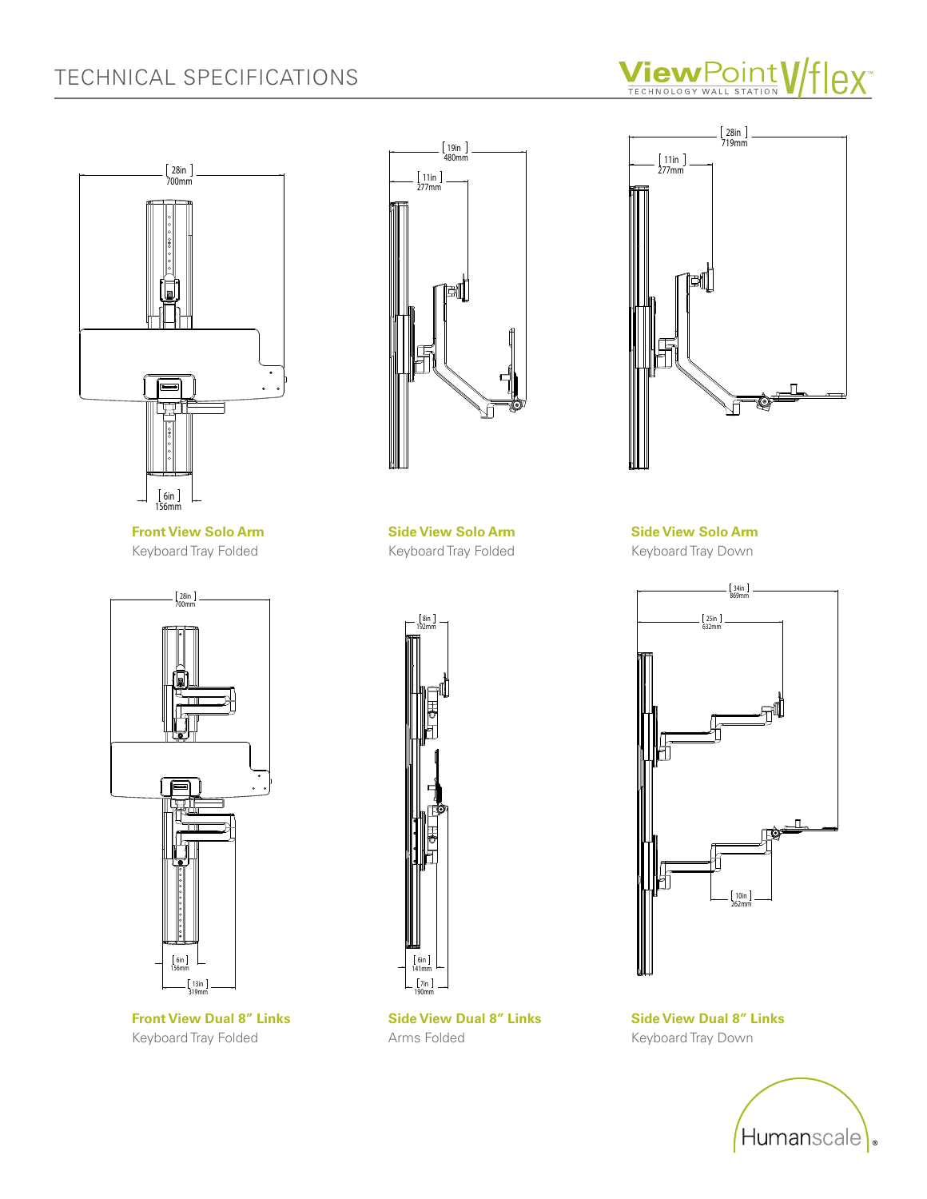# TECHNICAL SPECIFICATIONS



**Front View Solo Arm** Keyboard Tray Folded



**Front View Dual 8" Links** Keyboard Tray Folded



**Side View Solo Arm** Keyboard Tray Folded



**Side View Dual 8" Links** Arms Folded





**Side View Solo Arm** Keyboard Tray Down



**Side View Dual 8" Links** Keyboard Tray Down